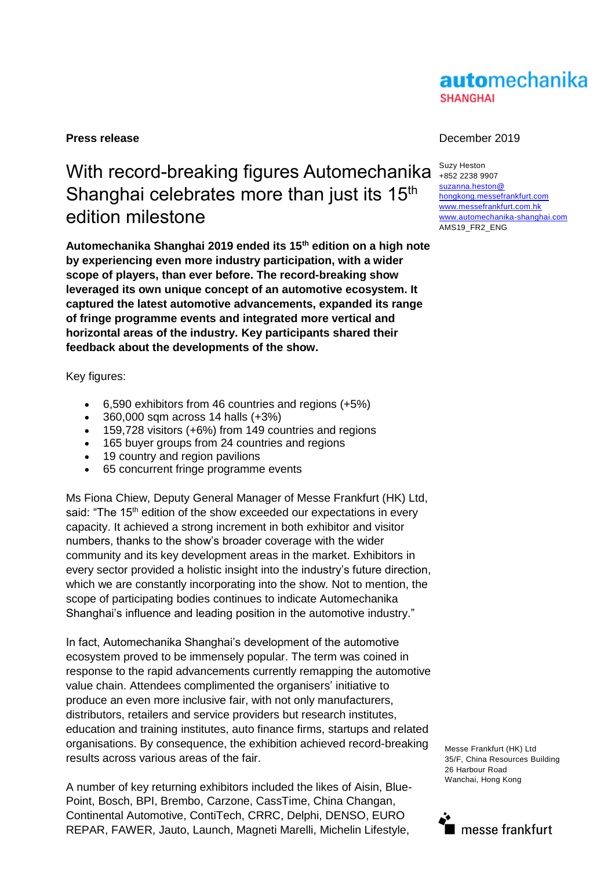# **automechanika SHANGHAI**

# With record-breaking figures Automechanika Shanghai celebrates more than just its 15<sup>th</sup> edition milestone

**Automechanika Shanghai 2019 ended its 15th edition on a high note by experiencing even more industry participation, with a wider scope of players, than ever before. The record-breaking show leveraged its own unique concept of an automotive ecosystem. It captured the latest automotive advancements, expanded its range of fringe programme events and integrated more vertical and horizontal areas of the industry. Key participants shared their feedback about the developments of the show.** 

Key figures:

- 6,590 exhibitors from 46 countries and regions (+5%)
- 360,000 sqm across 14 halls (+3%)
- 159,728 visitors (+6%) from 149 countries and regions
- 165 buyer groups from 24 countries and regions
- 19 country and region pavilions
- 65 concurrent fringe programme events

Ms Fiona Chiew, Deputy General Manager of Messe Frankfurt (HK) Ltd, said: "The 15<sup>th</sup> edition of the show exceeded our expectations in every capacity. It achieved a strong increment in both exhibitor and visitor numbers, thanks to the show's broader coverage with the wider community and its key development areas in the market. Exhibitors in every sector provided a holistic insight into the industry's future direction, which we are constantly incorporating into the show. Not to mention, the scope of participating bodies continues to indicate Automechanika Shanghai's influence and leading position in the automotive industry."

In fact, Automechanika Shanghai's development of the automotive ecosystem proved to be immensely popular. The term was coined in response to the rapid advancements currently remapping the automotive value chain. Attendees complimented the organisers' initiative to produce an even more inclusive fair, with not only manufacturers, distributors, retailers and service providers but research institutes, education and training institutes, auto finance firms, startups and related organisations. By consequence, the exhibition achieved record-breaking results across various areas of the fair.

A number of key returning exhibitors included the likes of Aisin, Blue-Point, Bosch, BPI, Brembo, Carzone, CassTime, China Changan, Continental Automotive, ContiTech, CRRC, Delphi, DENSO, EURO REPAR, FAWER, Jauto, Launch, Magneti Marelli, Michelin Lifestyle,

#### **Press release** December 2019

Suzy Heston +852 2238 9907 [suzanna.heston@](mailto:suzanna.heston@hongkong.messefrankfurt.com) [hongkong.messefrankfurt.com](mailto:suzanna.heston@hongkong.messefrankfurt.com) [www.messefrankfurt.com.hk](http://www.messefrankfurt.com.hk/)  [www.automechanika-shanghai.com](file://///mfhk-fs1/sdata/Suzanna%20Heston/2018/AMS/Press%20Release/www.automechanika-shanghai.com) AMS19\_FR2\_ENG

Messe Frankfurt (HK) Ltd 35/F, China Resources Building 26 Harbour Road Wanchai, Hong Kong

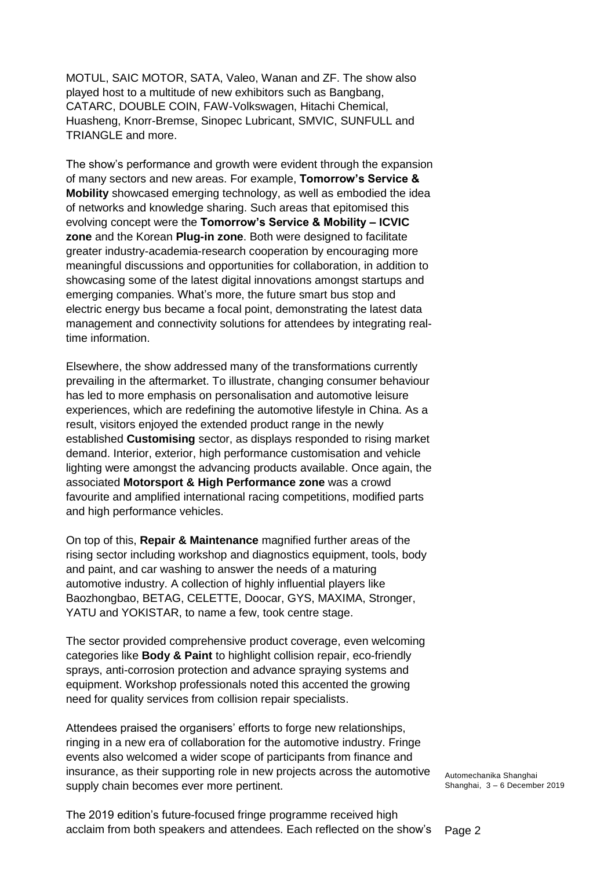MOTUL, SAIC MOTOR, SATA, Valeo, Wanan and ZF. The show also played host to a multitude of new exhibitors such as Bangbang, CATARC, DOUBLE COIN, FAW-Volkswagen, Hitachi Chemical, Huasheng, Knorr-Bremse, Sinopec Lubricant, SMVIC, SUNFULL and TRIANGLE and more.

The show's performance and growth were evident through the expansion of many sectors and new areas. For example, **Tomorrow's Service & Mobility** showcased emerging technology, as well as embodied the idea of networks and knowledge sharing. Such areas that epitomised this evolving concept were the **Tomorrow's Service & Mobility – ICVIC zone** and the Korean **Plug-in zone**. Both were designed to facilitate greater industry-academia-research cooperation by encouraging more meaningful discussions and opportunities for collaboration, in addition to showcasing some of the latest digital innovations amongst startups and emerging companies. What's more, the future smart bus stop and electric energy bus became a focal point, demonstrating the latest data management and connectivity solutions for attendees by integrating realtime information.

Elsewhere, the show addressed many of the transformations currently prevailing in the aftermarket. To illustrate, changing consumer behaviour has led to more emphasis on personalisation and automotive leisure experiences, which are redefining the automotive lifestyle in China. As a result, visitors enjoyed the extended product range in the newly established **Customising** sector, as displays responded to rising market demand. Interior, exterior, high performance customisation and vehicle lighting were amongst the advancing products available. Once again, the associated **Motorsport & High Performance zone** was a crowd favourite and amplified international racing competitions, modified parts and high performance vehicles.

On top of this, **Repair & Maintenance** magnified further areas of the rising sector including workshop and diagnostics equipment, tools, body and paint, and car washing to answer the needs of a maturing automotive industry. A collection of highly influential players like Baozhongbao, BETAG, CELETTE, Doocar, GYS, MAXIMA, Stronger, YATU and YOKISTAR, to name a few, took centre stage.

The sector provided comprehensive product coverage, even welcoming categories like **Body & Paint** to highlight collision repair, eco-friendly sprays, anti-corrosion protection and advance spraying systems and equipment. Workshop professionals noted this accented the growing need for quality services from collision repair specialists.

Attendees praised the organisers' efforts to forge new relationships, ringing in a new era of collaboration for the automotive industry. Fringe events also welcomed a wider scope of participants from finance and insurance, as their supporting role in new projects across the automotive supply chain becomes ever more pertinent.

Page 2 The 2019 edition's future-focused fringe programme received high acclaim from both speakers and attendees. Each reflected on the show's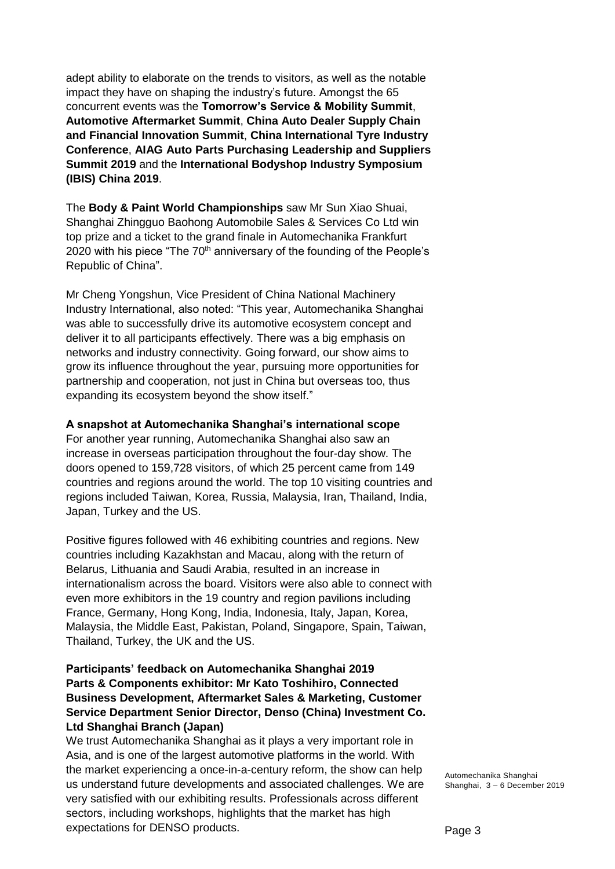adept ability to elaborate on the trends to visitors, as well as the notable impact they have on shaping the industry's future. Amongst the 65 concurrent events was the **Tomorrow's Service & Mobility Summit**, **Automotive Aftermarket Summit**, **China Auto Dealer Supply Chain and Financial Innovation Summit**, **China International Tyre Industry Conference**, **AIAG Auto Parts Purchasing Leadership and Suppliers Summit 2019** and the **International Bodyshop Industry Symposium (IBIS) China 2019**.

The **Body & Paint World Championships** saw Mr Sun Xiao Shuai, Shanghai Zhingguo Baohong Automobile Sales & Services Co Ltd win top prize and a ticket to the grand finale in Automechanika Frankfurt 2020 with his piece "The 70<sup>th</sup> anniversary of the founding of the People's Republic of China".

Mr Cheng Yongshun, Vice President of China National Machinery Industry International, also noted: "This year, Automechanika Shanghai was able to successfully drive its automotive ecosystem concept and deliver it to all participants effectively. There was a big emphasis on networks and industry connectivity. Going forward, our show aims to grow its influence throughout the year, pursuing more opportunities for partnership and cooperation, not just in China but overseas too, thus expanding its ecosystem beyond the show itself."

### **A snapshot at Automechanika Shanghai's international scope**

For another year running, Automechanika Shanghai also saw an increase in overseas participation throughout the four-day show. The doors opened to 159,728 visitors, of which 25 percent came from 149 countries and regions around the world. The top 10 visiting countries and regions included Taiwan, Korea, Russia, Malaysia, Iran, Thailand, India, Japan, Turkey and the US.

Positive figures followed with 46 exhibiting countries and regions. New countries including Kazakhstan and Macau, along with the return of Belarus, Lithuania and Saudi Arabia, resulted in an increase in internationalism across the board. Visitors were also able to connect with even more exhibitors in the 19 country and region pavilions including France, Germany, Hong Kong, India, Indonesia, Italy, Japan, Korea, Malaysia, the Middle East, Pakistan, Poland, Singapore, Spain, Taiwan, Thailand, Turkey, the UK and the US.

# **Participants' feedback on Automechanika Shanghai 2019 Parts & Components exhibitor: Mr Kato Toshihiro, Connected Business Development, Aftermarket Sales & Marketing, Customer Service Department Senior Director, Denso (China) Investment Co. Ltd Shanghai Branch (Japan)**

We trust Automechanika Shanghai as it plays a very important role in Asia, and is one of the largest automotive platforms in the world. With the market experiencing a once-in-a-century reform, the show can help us understand future developments and associated challenges. We are very satisfied with our exhibiting results. Professionals across different sectors, including workshops, highlights that the market has high expectations for DENSO products.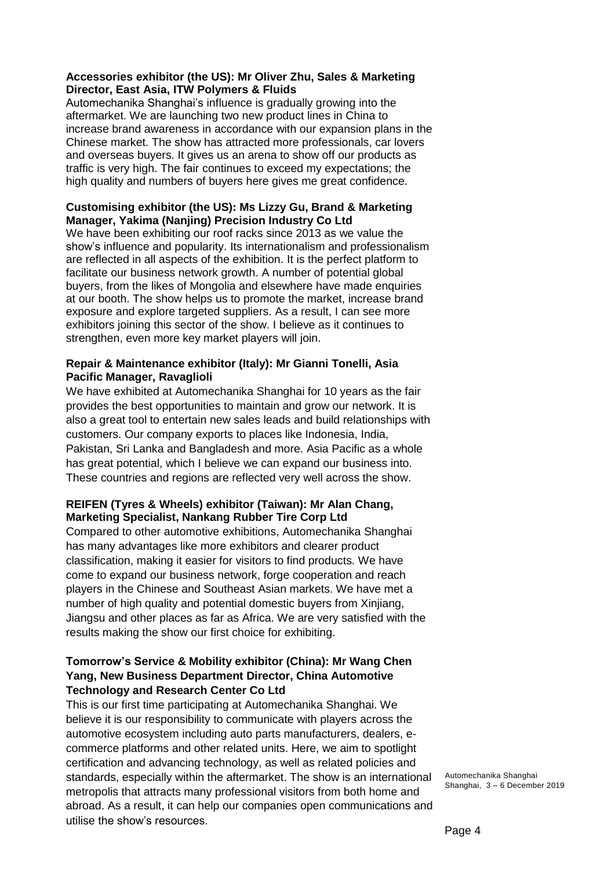# **Accessories exhibitor (the US): Mr Oliver Zhu, Sales & Marketing Director, East Asia, ITW Polymers & Fluids**

Automechanika Shanghai's influence is gradually growing into the aftermarket. We are launching two new product lines in China to increase brand awareness in accordance with our expansion plans in the Chinese market. The show has attracted more professionals, car lovers and overseas buyers. It gives us an arena to show off our products as traffic is very high. The fair continues to exceed my expectations; the high quality and numbers of buyers here gives me great confidence.

#### **Customising exhibitor (the US): Ms Lizzy Gu, Brand & Marketing Manager, Yakima (Nanjing) Precision Industry Co Ltd**

We have been exhibiting our roof racks since 2013 as we value the show's influence and popularity. Its internationalism and professionalism are reflected in all aspects of the exhibition. It is the perfect platform to facilitate our business network growth. A number of potential global buyers, from the likes of Mongolia and elsewhere have made enquiries at our booth. The show helps us to promote the market, increase brand exposure and explore targeted suppliers. As a result, I can see more exhibitors joining this sector of the show. I believe as it continues to strengthen, even more key market players will join.

# **Repair & Maintenance exhibitor (Italy): Mr Gianni Tonelli, Asia Pacific Manager, Ravaglioli**

We have exhibited at Automechanika Shanghai for 10 years as the fair provides the best opportunities to maintain and grow our network. It is also a great tool to entertain new sales leads and build relationships with customers. Our company exports to places like Indonesia, India, Pakistan, Sri Lanka and Bangladesh and more. Asia Pacific as a whole has great potential, which I believe we can expand our business into. These countries and regions are reflected very well across the show.

# **REIFEN (Tyres & Wheels) exhibitor (Taiwan): Mr Alan Chang, Marketing Specialist, Nankang Rubber Tire Corp Ltd**

Compared to other automotive exhibitions, Automechanika Shanghai has many advantages like more exhibitors and clearer product classification, making it easier for visitors to find products. We have come to expand our business network, forge cooperation and reach players in the Chinese and Southeast Asian markets. We have met a number of high quality and potential domestic buyers from Xinjiang, Jiangsu and other places as far as Africa. We are very satisfied with the results making the show our first choice for exhibiting.

# **Tomorrow's Service & Mobility exhibitor (China): Mr Wang Chen Yang, New Business Department Director, China Automotive Technology and Research Center Co Ltd**

This is our first time participating at Automechanika Shanghai. We believe it is our responsibility to communicate with players across the automotive ecosystem including auto parts manufacturers, dealers, ecommerce platforms and other related units. Here, we aim to spotlight certification and advancing technology, as well as related policies and standards, especially within the aftermarket. The show is an international metropolis that attracts many professional visitors from both home and abroad. As a result, it can help our companies open communications and utilise the show's resources.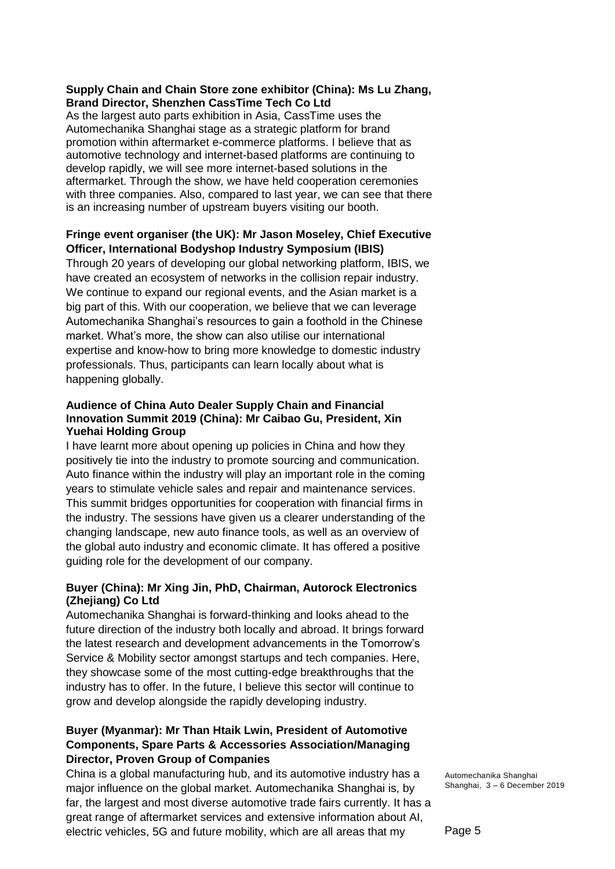### **Supply Chain and Chain Store zone exhibitor (China): Ms Lu Zhang, Brand Director, Shenzhen CassTime Tech Co Ltd**

As the largest auto parts exhibition in Asia, CassTime uses the Automechanika Shanghai stage as a strategic platform for brand promotion within aftermarket e-commerce platforms. I believe that as automotive technology and internet-based platforms are continuing to develop rapidly, we will see more internet-based solutions in the aftermarket. Through the show, we have held cooperation ceremonies with three companies. Also, compared to last year, we can see that there is an increasing number of upstream buyers visiting our booth.

# **Fringe event organiser (the UK): Mr Jason Moseley, Chief Executive Officer, International Bodyshop Industry Symposium (IBIS)**

Through 20 years of developing our global networking platform, IBIS, we have created an ecosystem of networks in the collision repair industry. We continue to expand our regional events, and the Asian market is a big part of this. With our cooperation, we believe that we can leverage Automechanika Shanghai's resources to gain a foothold in the Chinese market. What's more, the show can also utilise our international expertise and know-how to bring more knowledge to domestic industry professionals. Thus, participants can learn locally about what is happening globally.

# **Audience of China Auto Dealer Supply Chain and Financial Innovation Summit 2019 (China): Mr Caibao Gu, President, Xin Yuehai Holding Group**

I have learnt more about opening up policies in China and how they positively tie into the industry to promote sourcing and communication. Auto finance within the industry will play an important role in the coming years to stimulate vehicle sales and repair and maintenance services. This summit bridges opportunities for cooperation with financial firms in the industry. The sessions have given us a clearer understanding of the changing landscape, new auto finance tools, as well as an overview of the global auto industry and economic climate. It has offered a positive guiding role for the development of our company.

# **Buyer (China): Mr Xing Jin, PhD, Chairman, Autorock Electronics (Zhejiang) Co Ltd**

Automechanika Shanghai is forward-thinking and looks ahead to the future direction of the industry both locally and abroad. It brings forward the latest research and development advancements in the Tomorrow's Service & Mobility sector amongst startups and tech companies. Here, they showcase some of the most cutting-edge breakthroughs that the industry has to offer. In the future, I believe this sector will continue to grow and develop alongside the rapidly developing industry.

# **Buyer (Myanmar): Mr Than Htaik Lwin, President of Automotive Components, Spare Parts & Accessories Association/Managing Director, Proven Group of Companies**

China is a global manufacturing hub, and its automotive industry has a major influence on the global market. Automechanika Shanghai is, by far, the largest and most diverse automotive trade fairs currently. It has a great range of aftermarket services and extensive information about AI, electric vehicles, 5G and future mobility, which are all areas that my